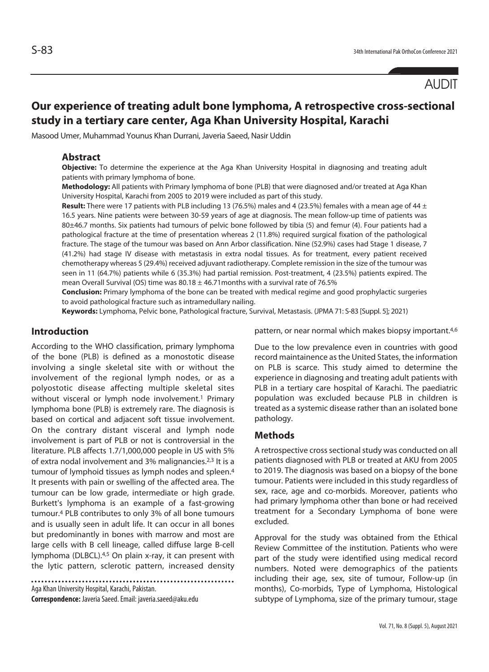# AUDIT

# **Our experience of treating adult bone lymphoma, A retrospective cross-sectional study in a tertiary care center, Aga Khan University Hospital, Karachi**

Masood Umer, Muhammad Younus Khan Durrani, Javeria Saeed, Nasir Uddin

## **Abstract**

**Objective:** To determine the experience at the Aga Khan University Hospital in diagnosing and treating adult patients with primary lymphoma of bone.

**Methodology:** All patients with Primary lymphoma of bone (PLB) that were diagnosed and/or treated at Aga Khan University Hospital, Karachi from 2005 to 2019 were included as part of this study.

**Result:** There were 17 patients with PLB including 13 (76.5%) males and 4 (23.5%) females with a mean age of 44 ± 16.5 years. Nine patients were between 30-59 years of age at diagnosis. The mean follow-up time of patients was 80±46.7 months. Six patients had tumours of pelvic bone followed by tibia (5) and femur (4). Four patients had a pathological fracture at the time of presentation whereas 2 (11.8%) required surgical fixation of the pathological fracture. The stage of the tumour was based on Ann Arbor classification. Nine (52.9%) cases had Stage 1 disease, 7 (41.2%) had stage IV disease with metastasis in extra nodal tissues. As for treatment, every patient received chemotherapy whereas 5 (29.4%) received adjuvant radiotherapy. Complete remission in the size of the tumour was seen in 11 (64.7%) patients while 6 (35.3%) had partial remission. Post-treatment, 4 (23.5%) patients expired. The mean Overall Survival (OS) time was  $80.18 \pm 46.71$  months with a survival rate of 76.5%

**Conclusion:** Primary lymphoma of the bone can be treated with medical regime and good prophylactic surgeries to avoid pathological fracture such as intramedullary nailing.

**Keywords:** Lymphoma, Pelvic bone, Pathological fracture, Survival, Metastasis. (JPMA 71: S-83 [Suppl. 5]; 2021)

## **Introduction**

According to the WHO classification, primary lymphoma of the bone (PLB) is defined as a monostotic disease involving a single skeletal site with or without the involvement of the regional lymph nodes, or as a polyostotic disease affecting multiple skeletal sites without visceral or lymph node involvement.<sup>1</sup> Primary lymphoma bone (PLB) is extremely rare. The diagnosis is based on cortical and adjacent soft tissue involvement. On the contrary distant visceral and lymph node involvement is part of PLB or not is controversial in the literature. PLB affects 1.7/1,000,000 people in US with 5% of extra nodal involvement and 3% malignancies.2,3 It is a tumour of lymphoid tissues as lymph nodes and spleen.4 It presents with pain or swelling of the affected area. The tumour can be low grade, intermediate or high grade. Burkett's lymphoma is an example of a fast-growing tumour.4 PLB contributes to only 3% of all bone tumours and is usually seen in adult life. It can occur in all bones but predominantly in bones with marrow and most are large cells with B cell lineage, called diffuse large B-cell lymphoma (DLBCL).4,5 On plain x-ray, it can present with the lytic pattern, sclerotic pattern, increased density

Aga Khan University Hospital, Karachi, Pakistan.

**Correspondence:** Javeria Saeed. Email: javeria.saeed@aku.edu

pattern, or near normal which makes biopsy important.<sup>4,6</sup>

Due to the low prevalence even in countries with good record maintainence as the United States, the information on PLB is scarce. This study aimed to determine the experience in diagnosing and treating adult patients with PLB in a tertiary care hospital of Karachi. The paediatric population was excluded because PLB in children is treated as a systemic disease rather than an isolated bone pathology.

## **Methods**

A retrospective cross sectional study was conducted on all patients diagnosed with PLB or treated at AKU from 2005 to 2019. The diagnosis was based on a biopsy of the bone tumour. Patients were included in this study regardless of sex, race, age and co-morbids. Moreover, patients who had primary lymphoma other than bone or had received treatment for a Secondary Lymphoma of bone were excluded.

Approval for the study was obtained from the Ethical Review Committee of the institution. Patients who were part of the study were identified using medical record numbers. Noted were demographics of the patients including their age, sex, site of tumour, Follow-up (in months), Co-morbids, Type of Lymphoma, Histological subtype of Lymphoma, size of the primary tumour, stage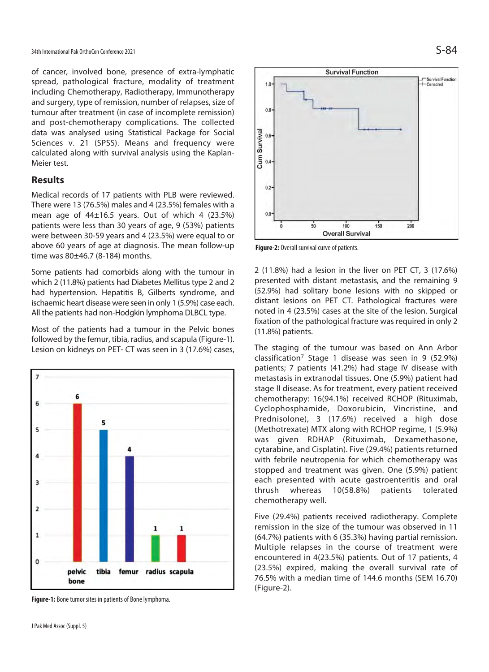of cancer, involved bone, presence of extra-lymphatic spread, pathological fracture, modality of treatment including Chemotherapy, Radiotherapy, Immunotherapy and surgery, type of remission, number of relapses, size of tumour after treatment (in case of incomplete remission) and post-chemotherapy complications. The collected data was analysed using Statistical Package for Social Sciences v. 21 (SPSS). Means and frequency were calculated along with survival analysis using the Kaplan-Meier test.

## **Results**

Medical records of 17 patients with PLB were reviewed. There were 13 (76.5%) males and 4 (23.5%) females with a mean age of 44±16.5 years. Out of which 4 (23.5%) patients were less than 30 years of age, 9 (53%) patients were between 30-59 years and 4 (23.5%) were equal to or above 60 years of age at diagnosis. The mean follow-up time was 80±46.7 (8-184) months.

Some patients had comorbids along with the tumour in which 2 (11.8%) patients had Diabetes Mellitus type 2 and 2 had hypertension. Hepatitis B, Gilberts syndrome, and ischaemic heart disease were seen in only 1 (5.9%) case each. All the patients had non-Hodgkin lymphoma DLBCL type.

Most of the patients had a tumour in the Pelvic bones followed by the femur, tibia, radius, and scapula (Figure-1). Lesion on kidneys on PET- CT was seen in 3 (17.6%) cases,



**Figure-1:** Bone tumor sites in patients of Bone lymphoma.



**Figure-2:** Overall survival curve of patients.

2 (11.8%) had a lesion in the liver on PET CT, 3 (17.6%) presented with distant metastasis, and the remaining 9 (52.9%) had solitary bone lesions with no skipped or distant lesions on PET CT. Pathological fractures were noted in 4 (23.5%) cases at the site of the lesion. Surgical fixation of the pathological fracture was required in only 2 (11.8%) patients.

The staging of the tumour was based on Ann Arbor classification7 Stage 1 disease was seen in 9 (52.9%) patients; 7 patients (41.2%) had stage IV disease with metastasis in extranodal tissues. One (5.9%) patient had stage II disease. As for treatment, every patient received chemotherapy: 16(94.1%) received RCHOP (Rituximab, Cyclophosphamide, Doxorubicin, Vincristine, and Prednisolone), 3 (17.6%) received a high dose (Methotrexate) MTX along with RCHOP regime, 1 (5.9%) was given RDHAP (Rituximab, Dexamethasone, cytarabine, and Cisplatin). Five (29.4%) patients returned with febrile neutropenia for which chemotherapy was stopped and treatment was given. One (5.9%) patient each presented with acute gastroenteritis and oral thrush whereas 10(58.8%) patients tolerated chemotherapy well.

Five (29.4%) patients received radiotherapy. Complete remission in the size of the tumour was observed in 11 (64.7%) patients with 6 (35.3%) having partial remission. Multiple relapses in the course of treatment were encountered in 4(23.5%) patients. Out of 17 patients, 4 (23.5%) expired, making the overall survival rate of 76.5% with a median time of 144.6 months (SEM 16.70) (Figure-2).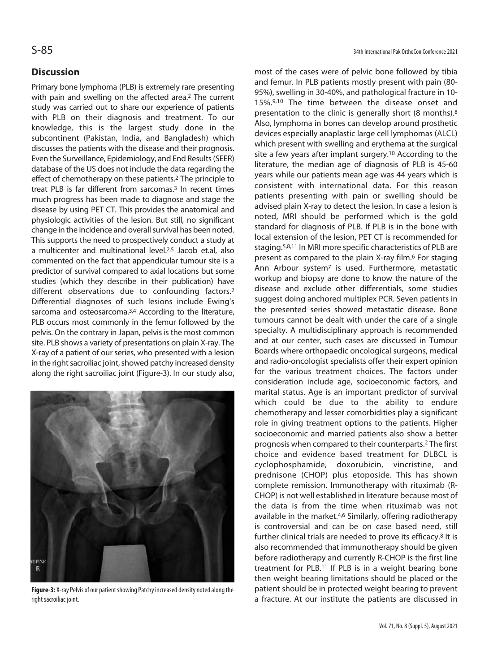## **Discussion**

Primary bone lymphoma (PLB) is extremely rare presenting with pain and swelling on the affected area.<sup>2</sup> The current study was carried out to share our experience of patients with PLB on their diagnosis and treatment. To our knowledge, this is the largest study done in the subcontinent (Pakistan, India, and Bangladesh) which discusses the patients with the disease and their prognosis. Even the Surveillance, Epidemiology, and End Results (SEER) database of the US does not include the data regarding the effect of chemotherapy on these patients.2 The principle to treat PLB is far different from sarcomas.<sup>3</sup> In recent times much progress has been made to diagnose and stage the disease by using PET CT. This provides the anatomical and physiologic activities of the lesion. But still, no significant change in the incidence and overall survival has been noted. This supports the need to prospectively conduct a study at a multicenter and multinational level.2,5 Jacob et.al, also commented on the fact that appendicular tumour site is a predictor of survival compared to axial locations but some studies (which they describe in their publication) have different observations due to confounding factors.2 Differential diagnoses of such lesions include Ewing's sarcoma and osteosarcoma.<sup>3,4</sup> According to the literature, PLB occurs most commonly in the femur followed by the pelvis. On the contrary in Japan, pelvis is the most common site. PLB shows a variety of presentations on plain X-ray. The X-ray of a patient of our series, who presented with a lesion in the right sacroiliac joint, showed patchy increased density along the right sacroiliac joint (Figure-3). In our study also,



**Figure-3:** X-ray Pelvis of our patient showing Patchy increased density noted along the right sacroiliac joint.

most of the cases were of pelvic bone followed by tibia and femur. In PLB patients mostly present with pain (80- 95%), swelling in 30-40%, and pathological fracture in 10- 15%.9,10 The time between the disease onset and presentation to the clinic is generally short (8 months).8 Also, lymphoma in bones can develop around prosthetic devices especially anaplastic large cell lymphomas (ALCL) which present with swelling and erythema at the surgical site a few years after implant surgery.10 According to the literature, the median age of diagnosis of PLB is 45-60 years while our patients mean age was 44 years which is consistent with international data. For this reason patients presenting with pain or swelling should be advised plain X-ray to detect the lesion. In case a lesion is noted, MRI should be performed which is the gold standard for diagnosis of PLB. If PLB is in the bone with local extension of the lesion, PET CT is recommended for staging.5,8,11 In MRI more specific characteristics of PLB are present as compared to the plain X-ray film.6 For staging Ann Arbour system7 is used. Furthermore, metastatic workup and biopsy are done to know the nature of the disease and exclude other differentials, some studies suggest doing anchored multiplex PCR. Seven patients in the presented series showed metastatic disease. Bone tumours cannot be dealt with under the care of a single specialty. A multidisciplinary approach is recommended and at our center, such cases are discussed in Tumour Boards where orthopaedic oncological surgeons, medical and radio-oncologist specialists offer their expert opinion for the various treatment choices. The factors under consideration include age, socioeconomic factors, and marital status. Age is an important predictor of survival which could be due to the ability to endure chemotherapy and lesser comorbidities play a significant role in giving treatment options to the patients. Higher socioeconomic and married patients also show a better prognosis when compared to their counterparts.2 The first choice and evidence based treatment for DLBCL is cyclophosphamide, doxorubicin, vincristine, and prednisone (CHOP) plus etoposide. This has shown complete remission. Immunotherapy with rituximab (R-CHOP) is not well established in literature because most of the data is from the time when rituximab was not available in the market.4,6 Similarly, offering radiotherapy is controversial and can be on case based need, still further clinical trials are needed to prove its efficacy.<sup>8</sup> It is also recommended that immunotherapy should be given before radiotherapy and currently R-CHOP is the first line treatment for PLB.11 If PLB is in a weight bearing bone then weight bearing limitations should be placed or the patient should be in protected weight bearing to prevent a fracture. At our institute the patients are discussed in